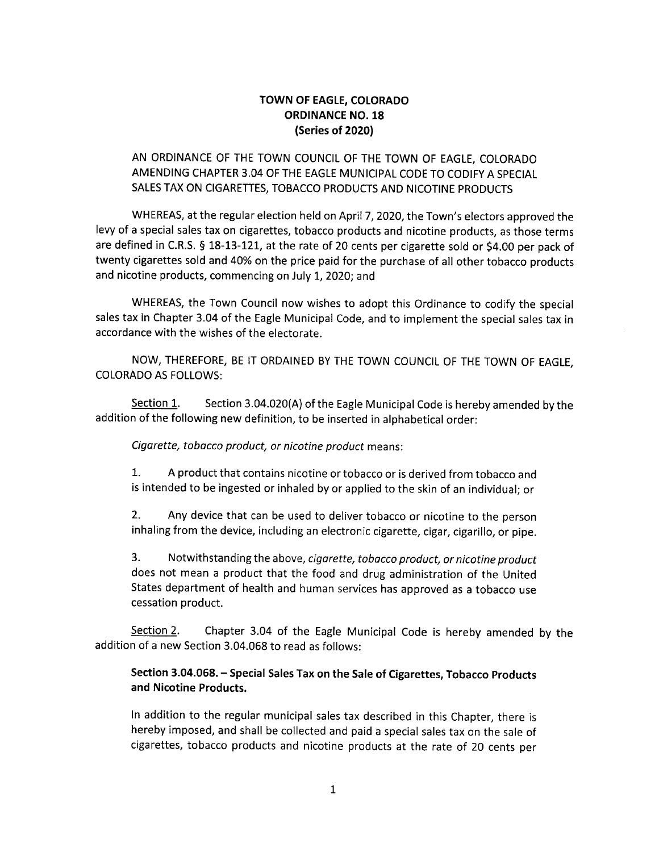## TOWN OF EAGLE, COLORADO ORDINANCE NO. 18 Series of 2020)

# AN ORDINANCE OF THE TOWN COUNCIL OF THE TOWN OF EAGLE, COLORADO AMENDING CHAPTER 3. 04 OF THE EAGLE MUNICIPAL CODE TO CODIFY A SPECIAL SALES TAX ON CIGARETTES, TOBACCO PRODUCTS AND NICOTINE PRODUCTS

WHEREAS, at the regular election held on April 7, 2020, the Town's electors approved the levy of <sup>a</sup> special sales tax on cigarettes, tobacco products and nicotine products, as those terms are defined in C.R.S.  $\S$  18-13-121, at the rate of 20 cents per cigarette sold or \$4.00 per pack of twenty cigarettes sold and 40% on the price paid for the purchase of all other tobacco products and nicotine products, commencing on July 1, 2020; and

WHEREAS, the Town Council now wishes to adopt this Ordinance to codify the special sales tax in Chapter 3.04 of the Eagle Municipal Code, and to implement the special sales tax in accordance with the wishes of the electorate.

NOW, THEREFORE, BE IT ORDAINED BY THE TOWN COUNCIL OF THE TOWN OF EAGLE, COLORADO AS FOLLOWS:

Section 1. Section 3.04.020(A) of the Eagle Municipal Code is hereby amended by the addition of the following new definition, to be inserted in alphabetical order:

Cigarette, tobacco product, or nicotine product means:

1. A product that contains nicotine or tobacco or is derived from tobacco and is intended to be ingested or inhaled by or applied to the skin of an individual; or

2. Any device that can be used to deliver tobacco or nicotine to the person inhaling from the device, including an electronic cigarette, cigar, cigarillo, or pipe.

3. Notwithstanding the above, cigarette, tobacco product, or nicotine product does not mean <sup>a</sup> product that the food and drug administration of the United States department of health and human services has approved as <sup>a</sup> tobacco use cessation product.

Section 2. Chapter 3.04 of the Eagle Municipal Code is hereby amended by the addition of <sup>a</sup> new Section 3. 04.068 to read as follows:

#### Section 3.04.068. - Special Sales Tax on the Sale of Cigarettes, Tobacco Products and Nicotine Products.

In addition to the regular municipal sales tax described in this Chapter, there is hereby imposed, and shall be collected and paid <sup>a</sup> special sales tax on the sale of cigarettes, tobacco products and nicotine products at the rate of 20 cents per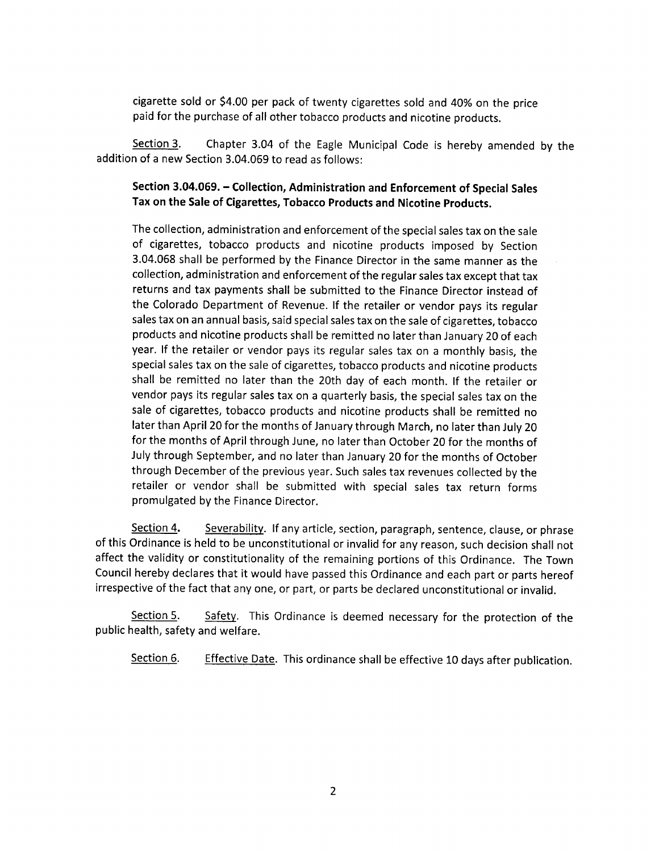cigarette sold or \$4.00 per pack of twenty cigarettes sold and 40% on the price paid for the purchase of all other tobacco products and nicotine products.

Section 3. Chapter 3.04 of the Eagle Municipal Code is hereby amended by the addition of a new Section 3. 04.069 to read as follows:

## Section 3.04.069. - Collection, Administration and Enforcement of Special Sales Tax on the Sale of Cigarettes, Tobacco Products and Nicotine Products.

The collection, administration and enforcement of the special sales tax on the sale of cigarettes, tobacco products and nicotine products imposed by Section 3. 04. 068 shall be performed by the Finance Director in the same manner as the collection, administration and enforcement of the regular sales tax except that tax returns and tax payments shall be submitted to the Finance Director instead of the Colorado Department of Revenue. If the retailer or vendor pays its regular sales tax on an annual basis, said special sales tax on the sale of cigarettes, tobacco products and nicotine products shall be remitted no later than January 20 of each year. If the retailer or vendor pays its regular sales tax on <sup>a</sup> monthly basis, the special sales tax on the sale of cigarettes, tobacco products and nicotine products shall be remitted no later than the 20th day of each month. If the retailer or vendor pays its regular sales tax on <sup>a</sup> quarterly basis, the special sales tax on the sale of cigarettes, tobacco products and nicotine products shall be remitted no later than April 20 for the months of January through March, no later than July 20 for the months of April through June, no later than October 20 for the months of July through September, and no later than January 20 for the months of October through December of the previous year. Such sales tax revenues collected by the retailer or vendor shall be submitted with special sales tax return forms promulgated by the Finance Director.

Section 4. Severability. If any article, section, paragraph, sentence, clause, or phrase of this Ordinance is held to be unconstitutional or invalid for any reason, such decision shall not affect the validity or constitutionality of the remaining portions of this Ordinance. The Town Council hereby declares that it would have passed this Ordinance and each part or parts hereof irrespective of the fact that any one, or part, or parts be declared unconstitutional or invalid.

Section 5. Safety. This Ordinance is deemed necessary for the protection of the public health, safety and welfare.

Section 6. Effective Date. This ordinance shall be effective 10 days after publication.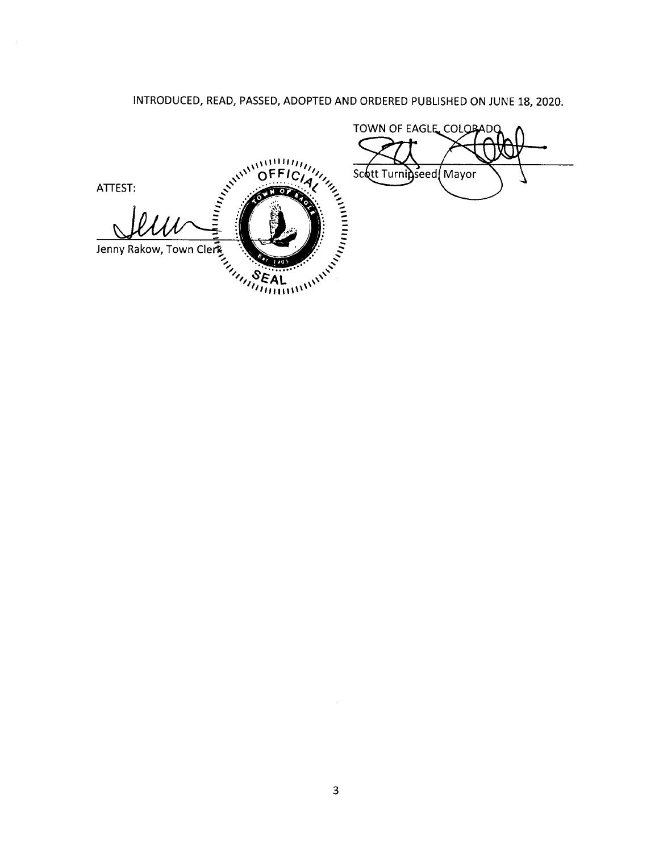# INTRODUCED, READ, PASSED, ADOPTED AND ORDERED PUBLISHED ON JUNE 18, 2020.

TOWN OF EAGLE COLORADO ANTITLE CONTROLLER DEFICIAL OFFICIAL UNITED Scott Turnipseed Mayor